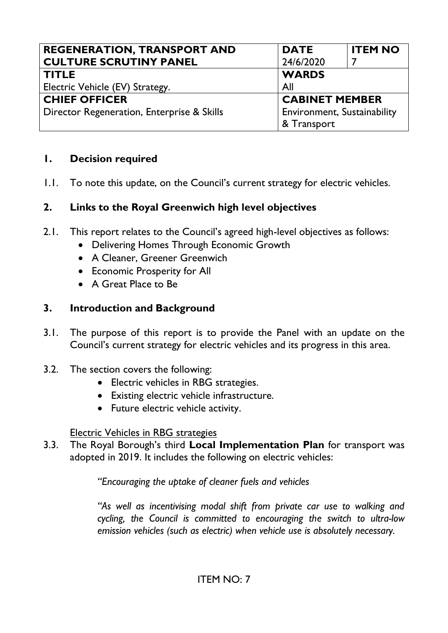| <b>REGENERATION, TRANSPORT AND</b>         | <b>DATE</b>           | <b>ITEM NO</b>              |  |
|--------------------------------------------|-----------------------|-----------------------------|--|
| <b>CULTURE SCRUTINY PANEL</b>              | 24/6/2020             |                             |  |
| <b>TITLE</b>                               | <b>WARDS</b>          |                             |  |
| Electric Vehicle (EV) Strategy.            | All                   |                             |  |
| <b>CHIEF OFFICER</b>                       | <b>CABINET MEMBER</b> |                             |  |
| Director Regeneration, Enterprise & Skills |                       | Environment, Sustainability |  |
|                                            | & Transport           |                             |  |

### **1. Decision required**

1.1. To note this update, on the Council's current strategy for electric vehicles.

### **2. Links to the Royal Greenwich high level objectives**

- 2.1. This report relates to the Council's agreed high-level objectives as follows:
	- Delivering Homes Through Economic Growth
	- A Cleaner, Greener Greenwich
	- Economic Prosperity for All
	- A Great Place to Be

### **3. Introduction and Background**

- 3.1. The purpose of this report is to provide the Panel with an update on the Council's current strategy for electric vehicles and its progress in this area.
- 3.2. The section covers the following:
	- Electric vehicles in RBG strategies.
	- Existing electric vehicle infrastructure.
	- Future electric vehicle activity.

### Electric Vehicles in RBG strategies

3.3. The Royal Borough's third **Local Implementation Plan** for transport was adopted in 2019. It includes the following on electric vehicles:

*"Encouraging the uptake of cleaner fuels and vehicles* 

*"As well as incentivising modal shift from private car use to walking and cycling, the Council is committed to encouraging the switch to ultra-low emission vehicles (such as electric) when vehicle use is absolutely necessary.*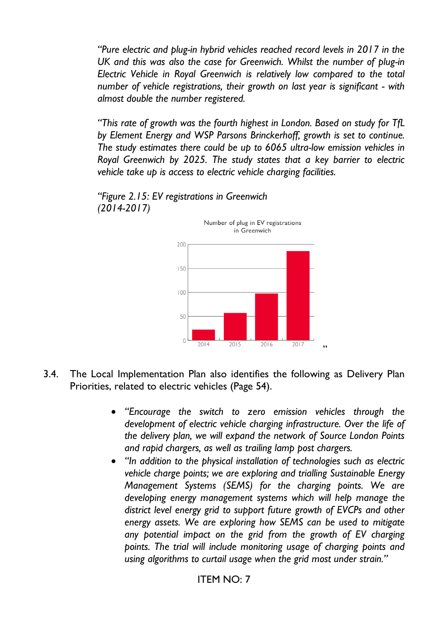*"Pure electric and plug-in hybrid vehicles reached record levels in 2017 in the UK and this was also the case for Greenwich. Whilst the number of plug-in Electric Vehicle in Royal Greenwich is relatively low compared to the total number of vehicle registrations, their growth on last year is significant - with almost double the number registered.* 

*"This rate of growth was the fourth highest in London. Based on study for TfL by Element Energy and WSP Parsons Brinckerhoff, growth is set to continue. The study estimates there could be up to 6065 ultra-low emission vehicles in Royal Greenwich by 2025. The study states that a key barrier to electric vehicle take up is access to electric vehicle charging facilities.* 



*"Figure 2.15: EV registrations in Greenwich (2014-2017)* 

- 3.4. The Local Implementation Plan also identifies the following as Delivery Plan Priorities, related to electric vehicles (Page 54).
	- *"Encourage the switch to zero emission vehicles through the development of electric vehicle charging infrastructure. Over the life of the delivery plan, we will expand the network of Source London Points and rapid chargers, as well as trailing lamp post chargers.*
	- *"In addition to the physical installation of technologies such as electric vehicle charge points; we are exploring and trialling Sustainable Energy Management Systems (SEMS) for the charging points. We are developing energy management systems which will help manage the district level energy grid to support future growth of EVCPs and other energy assets. We are exploring how SEMS can be used to mitigate any potential impact on the grid from the growth of EV charging points. The trial will include monitoring usage of charging points and using algorithms to curtail usage when the grid most under strain."*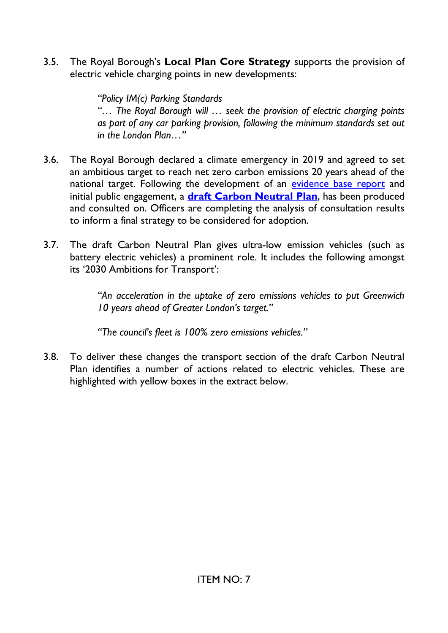3.5. The Royal Borough's **Local Plan Core Strategy** supports the provision of electric vehicle charging points in new developments:

> *"Policy IM(c) Parking Standards "… The Royal Borough will … seek the provision of electric charging points as part of any car parking provision, following the minimum standards set out in the London Plan…"*

- 3.6. The Royal Borough declared a climate emergency in 2019 and agreed to set an ambitious target to reach net zero carbon emissions 20 years ahead of the national target. Following the development of an [evidence base report](https://committees.royalgreenwich.gov.uk/Document.ashx?czJKcaeAi5tUFL1DTL2UE4zNRBcoShgo=ldD83jLUiiuchjav3PnCmtLh%2b9oaFKakU08i1aHqxTP6g%2bEA%2balDFg%3d%3d&rUzwRPf%2bZ3zd4E7Ikn8Lyw%3d%3d=pwRE6AGJFLDNlh225F5QMaQWCtPHwdhUfCZ%2fLUQzgA2uL5jNRG4jdQ%3d%3d&mCTIbCubSFfXsDGW9IXnlg%3d%3d=hFflUdN3100%3d&kCx1AnS9%2fpWZQ40DXFvdEw%3d%3d=hFflUdN3100%3d&uJovDxwdjMPoYv%2bAJvYtyA%3d%3d=ctNJFf55vVA%3d&FgPlIEJYlotS%2bYGoBi5olA%3d%3d=NHdURQburHA%3d&d9Qjj0ag1Pd993jsyOJqFvmyB7X0CSQK=ctNJFf55vVA%3d&WGewmoAfeNR9xqBux0r1Q8Za60lavYmz=ctNJFf55vVA%3d&WGewmoAfeNQ16B2MHuCpMRKZMwaG1PaO=ctNJFf55vVA%3d) and initial public engagement, a **[draft Carbon Neutral Plan](https://www.royalgreenwich.gov.uk/news/article/1739/the_royal_greenwich_draft_carbon_neutral_plan_has_been_published)**, has been produced and consulted on. Officers are completing the analysis of consultation results to inform a final strategy to be considered for adoption.
- 3.7. The draft Carbon Neutral Plan gives ultra-low emission vehicles (such as battery electric vehicles) a prominent role. It includes the following amongst its '2030 Ambitions for Transport':

*"An acceleration in the uptake of zero emissions vehicles to put Greenwich 10 years ahead of Greater London's target."*

*"The council's fleet is 100% zero emissions vehicles."*

3.8. To deliver these changes the transport section of the draft Carbon Neutral Plan identifies a number of actions related to electric vehicles. These are highlighted with yellow boxes in the extract below.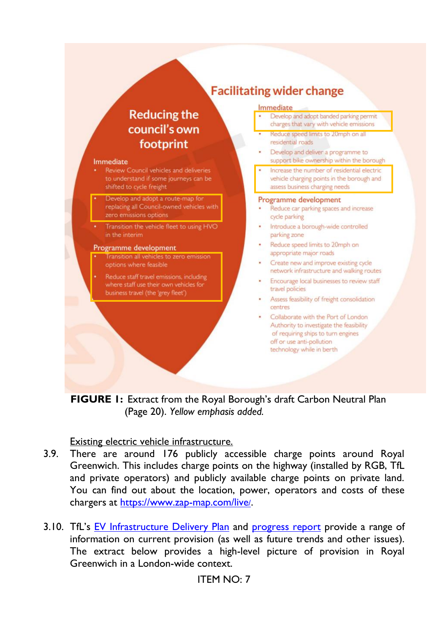# **Reducing the** council's own footprint

#### Immediate

- Review Council vehicles and deliveries to understand if some journeys can be shifted to cycle freight
- Develop and adopt a route-map for replacing all Council-owned vehicles with zero emissions options
- Transition the vehicle fleet to using HVO in the interim

#### Programme development

- Transition all vehicles to zero emission options where feasible
- Reduce staff travel emissions, including where staff use their own vehicles for business travel (the 'grey fleet')

# **Facilitating wider change**

#### Immediate

| $\bullet$ | Develop and adopt banded parking permit  |
|-----------|------------------------------------------|
|           | charges that vary with vehicle emissions |

- Reduce speed limits to 20mph on all residential roads
- Develop and deliver a programme to support bike ownership within the borough
- Increase the number of residential electric vehicle charging points in the borough and assess business charging needs

#### Programme development

- Reduce car parking spaces and increase cycle parking
- Introduce a borough-wide controlled parking zone
- Reduce speed limits to 20mph on appropriate major roads
- Create new and improve existing cycle network infrastructure and walking routes
- · Encourage local businesses to review staff travel policies
- · Assess feasibility of freight consolidation centres
- Collaborate with the Port of London Authority to investigate the feasibility of requiring ships to turn engines off or use anti-pollution technology while in berth

**FIGURE 1:** Extract from the Royal Borough's draft Carbon Neutral Plan (Page 20). *Yellow emphasis added.*

### Existing electric vehicle infrastructure.

- 3.9. There are around 176 publicly accessible charge points around Royal Greenwich. This includes charge points on the highway (installed by RGB, TfL and private operators) and publicly available charge points on private land. You can find out about the location, power, operators and costs of these chargers at [https://www.zap-map.com/live](https://www.zap-map.com/live/)/.
- 3.10. TfL's [EV Infrastructure Delivery Plan](https://lruc.content.tfl.gov.uk/london-electric-vehicle-infrastructure-taskforce-delivery-plan.pdf) and [progress report](http://lruc.content.tfl.gov.uk/london-electric-vehicle-infrastructure-delivery-plan-one-year-on-november-2020.pdf) provide a range of information on current provision (as well as future trends and other issues). The extract below provides a high-level picture of provision in Royal Greenwich in a London-wide context.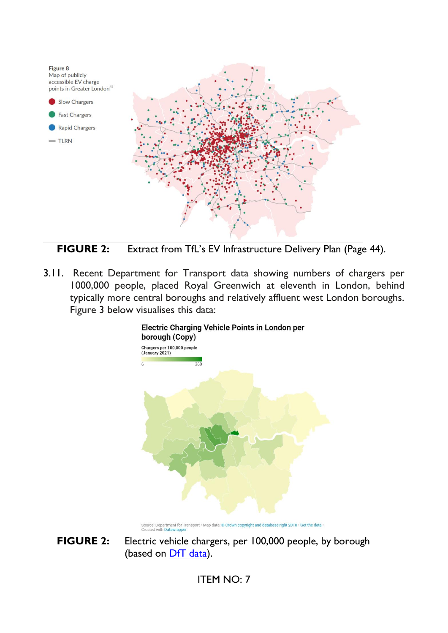



3.11. Recent Department for Transport data showing numbers of chargers per 1000,000 people, placed Royal Greenwich at eleventh in London, behind typically more central boroughs and relatively affluent west London boroughs. Figure 3 below visualises this data:



**Electric Charging Vehicle Points in London per** 

Source: Department for Transport • Map data: @ Crown copyright and database right 2018 • Get the data •<br>Created with Datawrapper

**FIGURE 2:** Electric vehicle chargers, per 100,000 people, by borough (based on **DfT** data).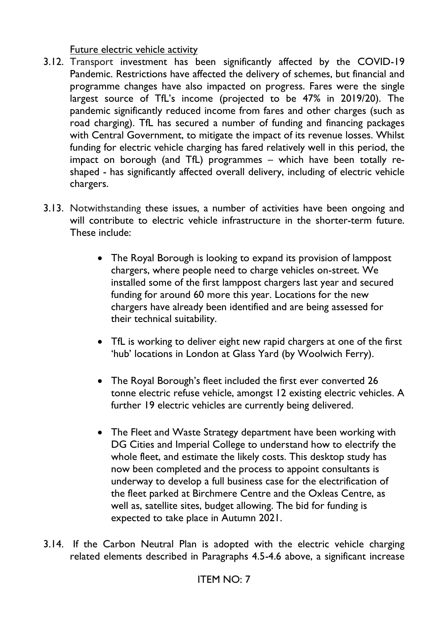Future electric vehicle activity

- 3.12. Transport investment has been significantly affected by the COVID-19 Pandemic. Restrictions have affected the delivery of schemes, but financial and programme changes have also impacted on progress. Fares were the single largest source of TfL's income (projected to be 47% in 2019/20). The pandemic significantly reduced income from fares and other charges (such as road charging). TfL has secured a number of funding and financing packages with Central Government, to mitigate the impact of its revenue losses. Whilst funding for electric vehicle charging has fared relatively well in this period, the impact on borough (and TfL) programmes – which have been totally reshaped - has significantly affected overall delivery, including of electric vehicle chargers.
- 3.13. Notwithstanding these issues, a number of activities have been ongoing and will contribute to electric vehicle infrastructure in the shorter-term future. These include:
	- The Royal Borough is looking to expand its provision of lamppost chargers, where people need to charge vehicles on-street. We installed some of the first lamppost chargers last year and secured funding for around 60 more this year. Locations for the new chargers have already been identified and are being assessed for their technical suitability.
	- TfL is working to deliver eight new rapid chargers at one of the first 'hub' locations in London at Glass Yard (by Woolwich Ferry).
	- The Royal Borough's fleet included the first ever converted 26 tonne electric refuse vehicle, amongst 12 existing electric vehicles. A further 19 electric vehicles are currently being delivered.
	- The Fleet and Waste Strategy department have been working with DG Cities and Imperial College to understand how to electrify the whole fleet, and estimate the likely costs. This desktop study has now been completed and the process to appoint consultants is underway to develop a full business case for the electrification of the fleet parked at Birchmere Centre and the Oxleas Centre, as well as, satellite sites, budget allowing. The bid for funding is expected to take place in Autumn 2021.
- 3.14. If the Carbon Neutral Plan is adopted with the electric vehicle charging related elements described in Paragraphs 4.5-4.6 above, a significant increase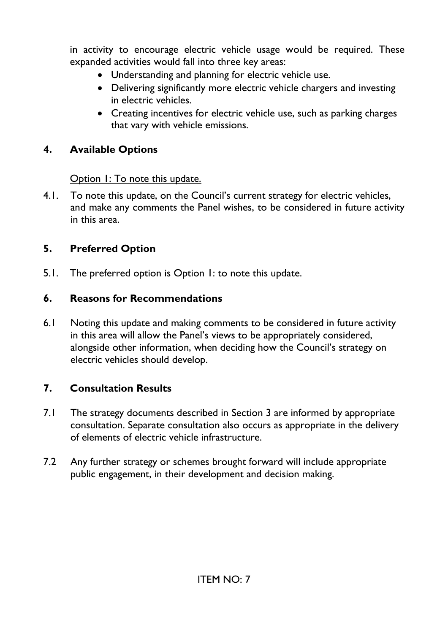in activity to encourage electric vehicle usage would be required. These expanded activities would fall into three key areas:

- Understanding and planning for electric vehicle use.
- Delivering significantly more electric vehicle chargers and investing in electric vehicles.
- Creating incentives for electric vehicle use, such as parking charges that vary with vehicle emissions.

### **4. Available Options**

Option 1: To note this update.

4.1. To note this update, on the Council's current strategy for electric vehicles, and make any comments the Panel wishes, to be considered in future activity in this area.

## **5. Preferred Option**

5.1. The preferred option is Option 1: to note this update.

### **6. Reasons for Recommendations**

6.1 Noting this update and making comments to be considered in future activity in this area will allow the Panel's views to be appropriately considered, alongside other information, when deciding how the Council's strategy on electric vehicles should develop.

## **7. Consultation Results**

- 7.1 The strategy documents described in Section 3 are informed by appropriate consultation. Separate consultation also occurs as appropriate in the delivery of elements of electric vehicle infrastructure.
- 7.2 Any further strategy or schemes brought forward will include appropriate public engagement, in their development and decision making.